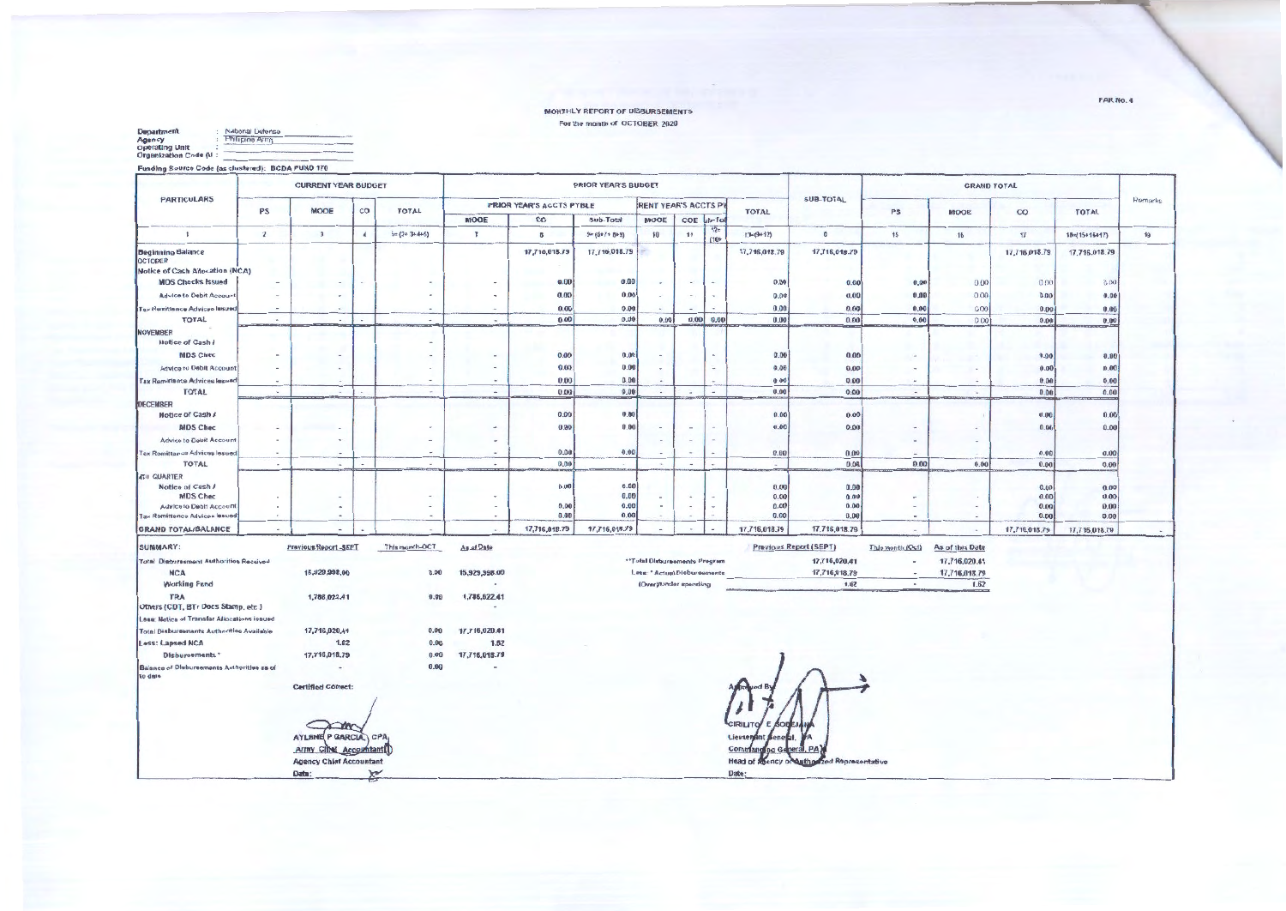## MONTHLY REPORT OF DISBURSEMENTS For the month of OCTOBER 2020

| Department             | National Defense      |
|------------------------|-----------------------|
| Agency                 | <b>Philipine Army</b> |
| <b>Operating Unit</b>  |                       |
|                        |                       |
| Organization Code (U : |                       |

Funding Source Code (as clustered): BCDA FUND 170

| <b>PARTICULARS</b>                   |                                     | <b>CURRENT YEAR BUDGET</b> |               |                       |                 |                          | <b>PRIOR YEAR'S BUDGET</b> |                             |                              |                  |               |               | <b>GRAND TOTAL</b> |                          |                 |                           |         |  |  |  |
|--------------------------------------|-------------------------------------|----------------------------|---------------|-----------------------|-----------------|--------------------------|----------------------------|-----------------------------|------------------------------|------------------|---------------|---------------|--------------------|--------------------------|-----------------|---------------------------|---------|--|--|--|
|                                      | PS                                  | MODE                       | co            | <b>TOTAL</b>          |                 | PRIOR YEAR'S ACCTS PYBLE |                            | <b>RENT YEAR'S ACCTS PY</b> |                              |                  | <b>TOTAL</b>  | SUB-TOTAL     | PS                 | MOOE                     | CO              | <b>TOTAL</b>              | Remarks |  |  |  |
|                                      |                                     |                            |               |                       | <b>MOOE</b>     | co<br>Sub-Total          |                            | <b>MOOE</b>                 | COE ub-Tod                   |                  |               |               |                    |                          |                 |                           |         |  |  |  |
|                                      | $\overline{z}$                      | $\overline{\mathbf{3}}$    | $\frac{d}{2}$ | $5 = (2 + 3 + 4 + 5)$ | $\overline{z}$  | $\mathbf{R}$             | $9 - (6 + 7 + 8 + 9)$      | \$0                         | 11                           | $12 =$<br>$(10+$ | $13=19+125$   | $\theta$      | 15                 | 16                       | 17 <sup>°</sup> | 18-415+15+17)             | 19      |  |  |  |
| <b>Beginning Balance</b><br>OCTOBER  |                                     |                            |               |                       |                 | 17,716,018.79            | 17,716,018.79              |                             |                              |                  | 17,716,018.79 | 17,716,018.79 |                    |                          | 17,716,018.79   | 17,716,018.79             |         |  |  |  |
| Notice of Cash Allocation (NCA)      |                                     |                            |               |                       |                 |                          |                            |                             |                              |                  |               |               |                    |                          |                 |                           |         |  |  |  |
| <b>MOS Checks Issued</b>             | $\overline{\phantom{a}}$            | $\sim$                     | <b>ALC</b>    | $\sim$                |                 | 0.00                     | 0.00                       | $\overline{a}$              | $\sim$ 1                     | $\sim$           | 0.00          | 0.00          | 0,00               | 0.00                     | 0.00            | 000                       |         |  |  |  |
| <b>Advice to Debit Account</b>       | $\sim$                              | $\;$                       |               | $\sim$                |                 | 0.00                     | 0.00                       |                             |                              | $\sim$           | 0.00          | 0.00          | 0.00               | 0.00                     | 0.00            | 0.00                      |         |  |  |  |
| <b>Tax Remittance Advices lesued</b> | $\sim$                              | $\sim$                     |               | $\,$                  | ۰               | 0.00                     | 0.00                       | $\sim$                      | $\sim$                       |                  | 0.00          | 0.00          | 0.00               | 000                      | 0.00            | 0.00                      |         |  |  |  |
| <b>TOTAL</b>                         | $\sim$<br><b>CALL MANUFACTURERS</b> | $\sim$                     |               | $\sim$<br>---         | $\sim$          | 0.00                     | 0.00                       | 0.00                        | 0.00                         | 0.00             | 0.00          | 0.00          | 0.00               | $-0.00$                  | 0.00            | 0.00<br><b>CONTRACTOR</b> |         |  |  |  |
| <b>NOVEMBER</b><br>Notice of Cash /  |                                     |                            |               |                       |                 |                          |                            |                             |                              |                  |               |               |                    |                          |                 |                           |         |  |  |  |
| <b>MDS Chec</b>                      | $\sim$                              |                            |               |                       | $\sim$          | 0.00                     | 0.00                       |                             |                              |                  | 0.00          | 0.00          | i dili             |                          | 0.00            | 0.00                      |         |  |  |  |
| <b>Advice to Dabit Account</b>       | $\sim$                              |                            |               |                       |                 | 0.00                     | 0.00                       |                             |                              |                  | 0.00          | 0.00          | $\sim$             | $\overline{\phantom{a}}$ | 0.00            | <b>D.00</b>               |         |  |  |  |
| <b>Tax Remittance Advices Insued</b> | $\sim$                              | $\sim$                     |               |                       | $\sim$          | 0.00                     | 0.00                       |                             |                              |                  | 0.00          | 0.00          | $-44$              | $\frac{1}{2}$            | 0.00            | 0.00                      |         |  |  |  |
| <b>TOTAL</b>                         | $\sim$                              | $\frac{1}{2}$              |               | $\sim$                | <b>A</b>        | 0.001                    | 0.00                       |                             |                              |                  | 0.00          | 0.00          | $\sim$             |                          | 0.00            | 0.00                      |         |  |  |  |
| <b>DECEMBER</b>                      |                                     | <b>CONTRACTOR</b>          |               |                       |                 |                          | <b>STATISTICS</b>          |                             | <b>CONTRACTOR</b> CONTRACTOR |                  |               |               | <b>CONTRACTOR</b>  |                          |                 | $-11$                     |         |  |  |  |
| Notice of Cash /                     |                                     |                            |               |                       |                 | 0.00                     | 0.00                       |                             |                              |                  | 0.00          | 0.00          |                    |                          | 0.00            | 0.00                      |         |  |  |  |
| <b>MDS Chec</b>                      |                                     | $\overline{a}$             |               |                       |                 | 0.00                     | 0.00                       |                             |                              | $\,$             | 0.00          | 0.00          |                    |                          | 0.00            | 0.00                      |         |  |  |  |
| <b>Advice to Debit Account</b>       |                                     |                            |               |                       | $\;$            |                          |                            |                             |                              | $\sim$           |               |               | $\sim$             |                          |                 |                           |         |  |  |  |
| Tax Remittance Advices lesued        | <b>Sec.</b>                         | $\sim$                     |               |                       | $\equiv$        | 0.00                     | 0.00                       |                             |                              |                  | 0.00          | 0.00          |                    |                          | 0.00            | 0.00                      |         |  |  |  |
| <b>TOTAL</b>                         | $\sim$                              | $\sim$                     |               | $\sim$                | ٠               | 0,00                     | $\sim$                     | $\sim$                      | <b>Service</b>               |                  | m.            | 0.00          | 0.00               | 0.00                     | 0.00            | 0.00                      |         |  |  |  |
| <b>4TH QUARTER</b>                   |                                     |                            |               |                       | <b>TEXT LES</b> |                          |                            |                             |                              |                  |               |               |                    |                          |                 | <b>A CA MY</b>            |         |  |  |  |
| Notice of Cash /<br><b>MDS Chec</b>  |                                     |                            |               |                       |                 | 0.00                     | 0.00<br>0.00               |                             |                              |                  | 0.00<br>0.00  | 0.00<br>0.00  |                    |                          | 0.00<br>0.00    | 0.00<br>0.00              |         |  |  |  |
| <b>Advice to Debit Account</b>       |                                     | $\,$<br>$\sim$             |               |                       |                 | 0.00                     | 0.00                       |                             |                              |                  | 0,00          | 0.00          |                    | $\,$ $\,$                | 0.00            | 9,00                      |         |  |  |  |
| <b>Tax Remittence Advices Insued</b> | $\sim$                              | $\sim$                     |               |                       |                 | 0.00                     | 0.00                       |                             |                              |                  | 0.00          | 0.00          | $\bullet$          | $\overline{\phantom{a}}$ | 0.00            | 0.00                      |         |  |  |  |
| <b>GRAND TOTAL/BALANCE</b>           | $\sim$                              | $\sim$                     |               |                       | $\sim$          | 17,716,018.79            | 17,716,018.79              |                             |                              |                  | 17,716,018.79 | 17,716,018.79 | $\sim$             |                          | 17,716,018.79   | 17,716,018.79             |         |  |  |  |

| SUMMARY:                                       | <b>Prayjous Report -SEPT</b> | This month-OCT | As of Date    |                                | Previous Report (SEPT)                                                                                                                                    | This month (Oct) | As of this Date |
|------------------------------------------------|------------------------------|----------------|---------------|--------------------------------|-----------------------------------------------------------------------------------------------------------------------------------------------------------|------------------|-----------------|
| <b>Total Disbursement Authorities Received</b> |                              |                |               | ** Total Disbursements Program | 17,716,020.41                                                                                                                                             |                  | 17.716,020.41   |
| <b>NCA</b>                                     | 15,929,998.00                | 0.00           | 15,929,998.00 | Less: "Actual Diebursements"   | 17,716,018.79                                                                                                                                             |                  | 17.716,018.79   |
| <b>Working Fund</b>                            |                              |                |               | (Over)/Under spending          | 1.62<br>address to a matrix years that was not the "AT Substance provided and the coup years of a community of the community of the community of the com- |                  | 1.62            |
| <b>TRA</b>                                     | 1,786,022,41                 | 0.00           | 1.786.022.41  |                                |                                                                                                                                                           |                  |                 |

| Others (CDT, BTr Docs Stamp, etc.)                    |                    |      | ÷             |
|-------------------------------------------------------|--------------------|------|---------------|
| Less: Notice of Transfer Allocations issued           |                    |      |               |
| Total Disbursements Authorities Available             | 17,716,020.41      | 0.00 | 17,716,020.41 |
| Less: Lapsed NCA                                      | 1.62               | 0.00 | 1.62          |
| Disbursements *                                       | 17.716.018.79      | 0.00 | 17.716.018.79 |
| Balance of Disbursements Authorities as of<br>to date | $\overline{a}$     | 0.00 | $\frac{1}{2}$ |
|                                                       | Certified Correct: |      |               |
|                                                       |                    |      |               |

AYLENE P GARCIA, CPA Army City Accountant **Agency Chief Accountant** Data:  $\approx$ 

Cor d Representative **Head of** Date:

FAR No. 4